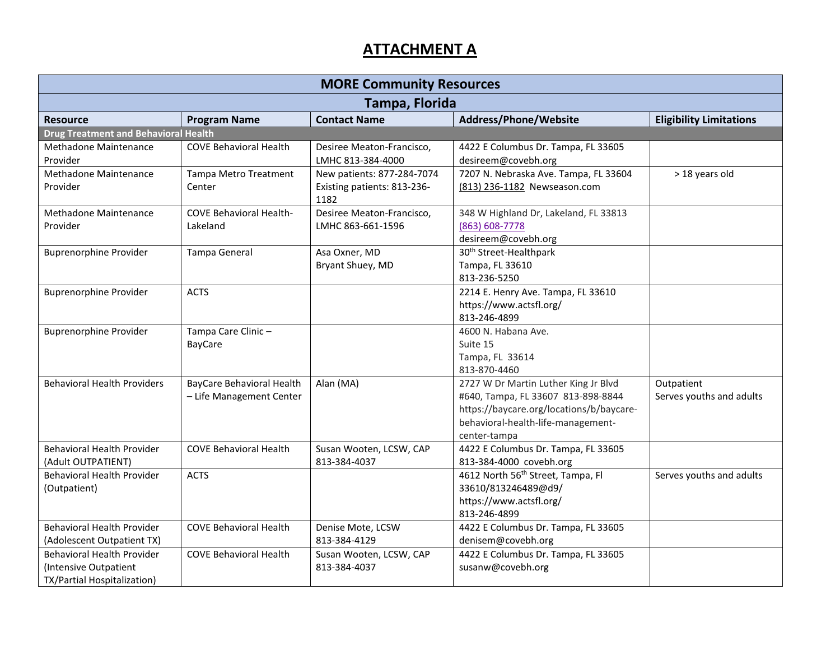| <b>MORE Community Resources</b>                                                           |                                                       |                                                                   |                                                                                                                                                                              |                                        |  |
|-------------------------------------------------------------------------------------------|-------------------------------------------------------|-------------------------------------------------------------------|------------------------------------------------------------------------------------------------------------------------------------------------------------------------------|----------------------------------------|--|
| Tampa, Florida                                                                            |                                                       |                                                                   |                                                                                                                                                                              |                                        |  |
| <b>Resource</b>                                                                           | <b>Program Name</b>                                   | <b>Contact Name</b>                                               | Address/Phone/Website                                                                                                                                                        | <b>Eligibility Limitations</b>         |  |
| <b>Drug Treatment and Behavioral Health</b>                                               |                                                       |                                                                   |                                                                                                                                                                              |                                        |  |
| Methadone Maintenance<br>Provider                                                         | <b>COVE Behavioral Health</b>                         | Desiree Meaton-Francisco,<br>LMHC 813-384-4000                    | 4422 E Columbus Dr. Tampa, FL 33605<br>desireem@covebh.org                                                                                                                   |                                        |  |
| Methadone Maintenance<br>Provider                                                         | Tampa Metro Treatment<br>Center                       | New patients: 877-284-7074<br>Existing patients: 813-236-<br>1182 | 7207 N. Nebraska Ave. Tampa, FL 33604<br>(813) 236-1182 Newseason.com                                                                                                        | > 18 years old                         |  |
| Methadone Maintenance<br>Provider                                                         | <b>COVE Behavioral Health-</b><br>Lakeland            | Desiree Meaton-Francisco,<br>LMHC 863-661-1596                    | 348 W Highland Dr, Lakeland, FL 33813<br>(863) 608-7778<br>desireem@covebh.org                                                                                               |                                        |  |
| <b>Buprenorphine Provider</b>                                                             | Tampa General                                         | Asa Oxner, MD<br>Bryant Shuey, MD                                 | 30 <sup>th</sup> Street-Healthpark<br>Tampa, FL 33610<br>813-236-5250                                                                                                        |                                        |  |
| <b>Buprenorphine Provider</b>                                                             | <b>ACTS</b>                                           |                                                                   | 2214 E. Henry Ave. Tampa, FL 33610<br>https://www.actsfl.org/<br>813-246-4899                                                                                                |                                        |  |
| <b>Buprenorphine Provider</b>                                                             | Tampa Care Clinic-<br><b>BayCare</b>                  |                                                                   | 4600 N. Habana Ave.<br>Suite 15<br>Tampa, FL 33614<br>813-870-4460                                                                                                           |                                        |  |
| <b>Behavioral Health Providers</b>                                                        | BayCare Behavioral Health<br>- Life Management Center | Alan (MA)                                                         | 2727 W Dr Martin Luther King Jr Blvd<br>#640, Tampa, FL 33607 813-898-8844<br>https://baycare.org/locations/b/baycare-<br>behavioral-health-life-management-<br>center-tampa | Outpatient<br>Serves youths and adults |  |
| <b>Behavioral Health Provider</b><br>(Adult OUTPATIENT)                                   | <b>COVE Behavioral Health</b>                         | Susan Wooten, LCSW, CAP<br>813-384-4037                           | 4422 E Columbus Dr. Tampa, FL 33605<br>813-384-4000 covebh.org                                                                                                               |                                        |  |
| Behavioral Health Provider<br>(Outpatient)                                                | <b>ACTS</b>                                           |                                                                   | 4612 North 56 <sup>th</sup> Street, Tampa, Fl<br>33610/813246489@d9/<br>https://www.actsfl.org/<br>813-246-4899                                                              | Serves youths and adults               |  |
| Behavioral Health Provider<br>(Adolescent Outpatient TX)                                  | <b>COVE Behavioral Health</b>                         | Denise Mote, LCSW<br>813-384-4129                                 | 4422 E Columbus Dr. Tampa, FL 33605<br>denisem@covebh.org                                                                                                                    |                                        |  |
| <b>Behavioral Health Provider</b><br>(Intensive Outpatient<br>TX/Partial Hospitalization) | <b>COVE Behavioral Health</b>                         | Susan Wooten, LCSW, CAP<br>813-384-4037                           | 4422 E Columbus Dr. Tampa, FL 33605<br>susanw@covebh.org                                                                                                                     |                                        |  |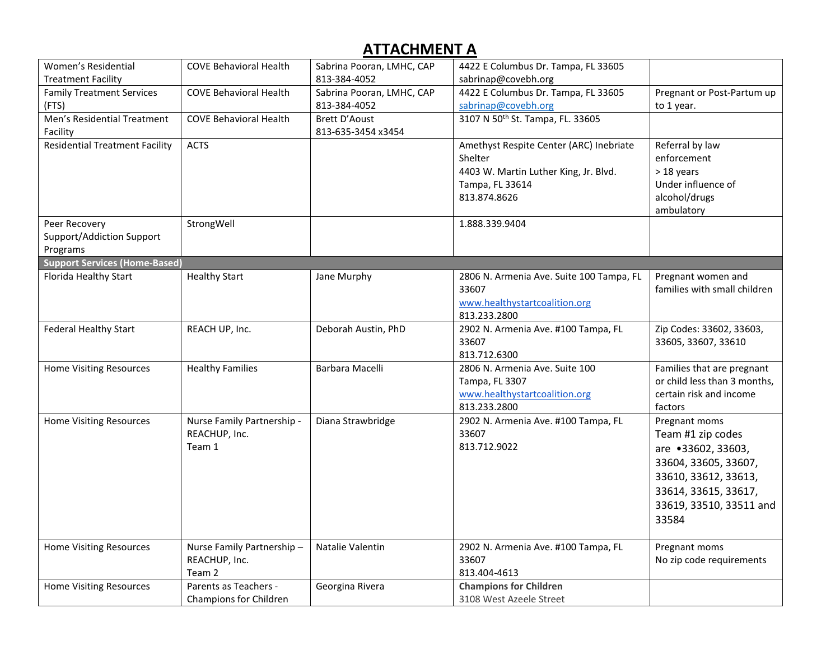| Women's Residential<br><b>Treatment Facility</b>       | <b>COVE Behavioral Health</b>                         | Sabrina Pooran, LMHC, CAP<br>813-384-4052  | 4422 E Columbus Dr. Tampa, FL 33605<br>sabrinap@covebh.org                                                                     |                                                                                                                                                                      |
|--------------------------------------------------------|-------------------------------------------------------|--------------------------------------------|--------------------------------------------------------------------------------------------------------------------------------|----------------------------------------------------------------------------------------------------------------------------------------------------------------------|
| <b>Family Treatment Services</b><br>(FTS)              | <b>COVE Behavioral Health</b>                         | Sabrina Pooran, LMHC, CAP<br>813-384-4052  | 4422 E Columbus Dr. Tampa, FL 33605<br>sabrinap@covebh.org                                                                     | Pregnant or Post-Partum up<br>to 1 year.                                                                                                                             |
| Men's Residential Treatment<br>Facility                | <b>COVE Behavioral Health</b>                         | <b>Brett D'Aoust</b><br>813-635-3454 x3454 | 3107 N 50th St. Tampa, FL. 33605                                                                                               |                                                                                                                                                                      |
| <b>Residential Treatment Facility</b>                  | <b>ACTS</b>                                           |                                            | Amethyst Respite Center (ARC) Inebriate<br>Shelter<br>4403 W. Martin Luther King, Jr. Blvd.<br>Tampa, FL 33614<br>813.874.8626 | Referral by law<br>enforcement<br>> 18 years<br>Under influence of<br>alcohol/drugs<br>ambulatory                                                                    |
| Peer Recovery<br>Support/Addiction Support<br>Programs | StrongWell                                            |                                            | 1.888.339.9404                                                                                                                 |                                                                                                                                                                      |
| <b>Support Services (Home-Based)</b>                   |                                                       |                                            |                                                                                                                                |                                                                                                                                                                      |
| Florida Healthy Start                                  | <b>Healthy Start</b>                                  | Jane Murphy                                | 2806 N. Armenia Ave. Suite 100 Tampa, FL<br>33607<br>www.healthystartcoalition.org<br>813.233.2800                             | Pregnant women and<br>families with small children                                                                                                                   |
| Federal Healthy Start                                  | REACH UP, Inc.                                        | Deborah Austin, PhD                        | 2902 N. Armenia Ave. #100 Tampa, FL<br>33607<br>813.712.6300                                                                   | Zip Codes: 33602, 33603,<br>33605, 33607, 33610                                                                                                                      |
| <b>Home Visiting Resources</b>                         | <b>Healthy Families</b>                               | Barbara Macelli                            | 2806 N. Armenia Ave. Suite 100<br>Tampa, FL 3307<br>www.healthystartcoalition.org<br>813.233.2800                              | Families that are pregnant<br>or child less than 3 months,<br>certain risk and income<br>factors                                                                     |
| <b>Home Visiting Resources</b>                         | Nurse Family Partnership -<br>REACHUP, Inc.<br>Team 1 | Diana Strawbridge                          | 2902 N. Armenia Ave. #100 Tampa, FL<br>33607<br>813.712.9022                                                                   | Pregnant moms<br>Team #1 zip codes<br>are •33602, 33603,<br>33604, 33605, 33607,<br>33610, 33612, 33613,<br>33614, 33615, 33617,<br>33619, 33510, 33511 and<br>33584 |
| <b>Home Visiting Resources</b>                         | Nurse Family Partnership-<br>REACHUP, Inc.<br>Team 2  | Natalie Valentin                           | 2902 N. Armenia Ave. #100 Tampa, FL<br>33607<br>813.404-4613                                                                   | Pregnant moms<br>No zip code requirements                                                                                                                            |
| Home Visiting Resources                                | Parents as Teachers -<br>Champions for Children       | Georgina Rivera                            | <b>Champions for Children</b><br>3108 West Azeele Street                                                                       |                                                                                                                                                                      |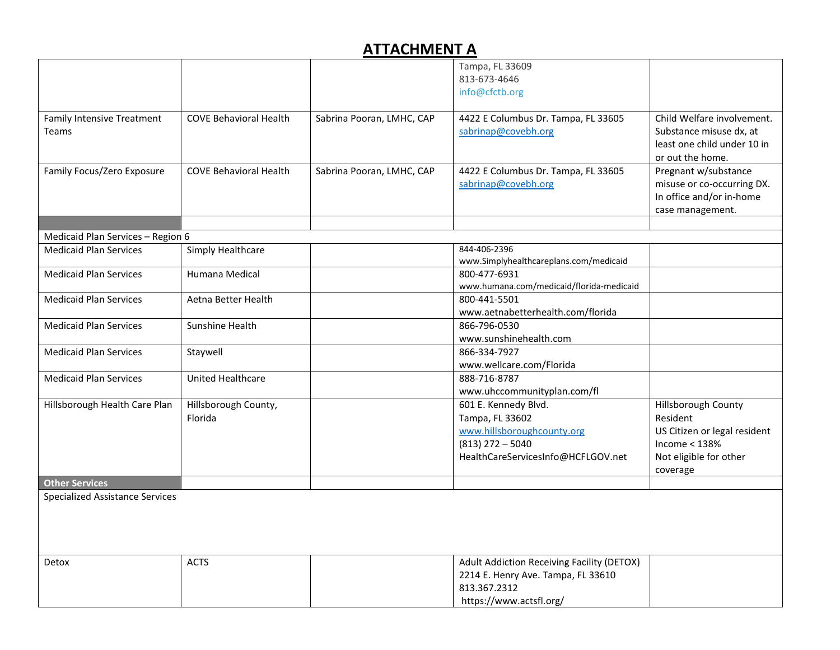|                                            |                                 |                           | Tampa, FL 33609                                                                                                                   |                                                                                                                          |
|--------------------------------------------|---------------------------------|---------------------------|-----------------------------------------------------------------------------------------------------------------------------------|--------------------------------------------------------------------------------------------------------------------------|
|                                            |                                 |                           | 813-673-4646                                                                                                                      |                                                                                                                          |
|                                            |                                 |                           | info@cfctb.org                                                                                                                    |                                                                                                                          |
| <b>Family Intensive Treatment</b><br>Teams | <b>COVE Behavioral Health</b>   | Sabrina Pooran, LMHC, CAP | 4422 E Columbus Dr. Tampa, FL 33605<br>sabrinap@covebh.org                                                                        | Child Welfare involvement.<br>Substance misuse dx, at<br>least one child under 10 in<br>or out the home.                 |
| Family Focus/Zero Exposure                 | <b>COVE Behavioral Health</b>   | Sabrina Pooran, LMHC, CAP | 4422 E Columbus Dr. Tampa, FL 33605<br>sabrinap@covebh.org                                                                        | Pregnant w/substance<br>misuse or co-occurring DX.<br>In office and/or in-home<br>case management.                       |
| Medicaid Plan Services - Region 6          |                                 |                           |                                                                                                                                   |                                                                                                                          |
| <b>Medicaid Plan Services</b>              | Simply Healthcare               |                           | 844-406-2396<br>www.Simplyhealthcareplans.com/medicaid                                                                            |                                                                                                                          |
| <b>Medicaid Plan Services</b>              | Humana Medical                  |                           | 800-477-6931<br>www.humana.com/medicaid/florida-medicaid                                                                          |                                                                                                                          |
| <b>Medicaid Plan Services</b>              | Aetna Better Health             |                           | 800-441-5501<br>www.aetnabetterhealth.com/florida                                                                                 |                                                                                                                          |
| <b>Medicaid Plan Services</b>              | Sunshine Health                 |                           | 866-796-0530<br>www.sunshinehealth.com                                                                                            |                                                                                                                          |
| <b>Medicaid Plan Services</b>              | Staywell                        |                           | 866-334-7927<br>www.wellcare.com/Florida                                                                                          |                                                                                                                          |
| <b>Medicaid Plan Services</b>              | United Healthcare               |                           | 888-716-8787<br>www.uhccommunityplan.com/fl                                                                                       |                                                                                                                          |
| Hillsborough Health Care Plan              | Hillsborough County,<br>Florida |                           | 601 E. Kennedy Blvd.<br>Tampa, FL 33602<br>www.hillsboroughcounty.org<br>$(813)$ 272 - 5040<br>HealthCareServicesInfo@HCFLGOV.net | Hillsborough County<br>Resident<br>US Citizen or legal resident<br>Income $<$ 138%<br>Not eligible for other<br>coverage |
| <b>Other Services</b>                      |                                 |                           |                                                                                                                                   |                                                                                                                          |
| <b>Specialized Assistance Services</b>     |                                 |                           |                                                                                                                                   |                                                                                                                          |
| Detox                                      | <b>ACTS</b>                     |                           | Adult Addiction Receiving Facility (DETOX)<br>2214 E. Henry Ave. Tampa, FL 33610<br>813.367.2312<br>https://www.actsfl.org/       |                                                                                                                          |